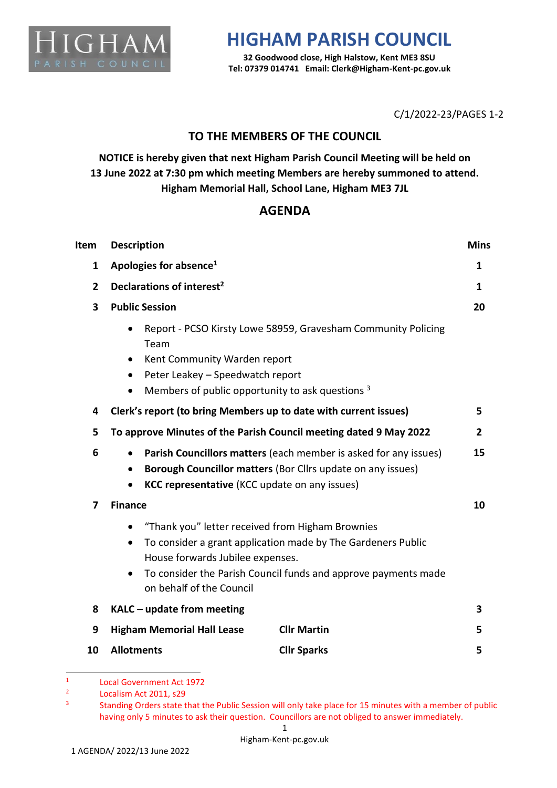

## **HIGHAM PARISH COUNCIL**

**32 Goodwood close, High Halstow, Kent ME3 8SU Tel: 07379 014741 Email: Clerk@Higham-Kent-pc.gov.uk**

C/1/2022-23/PAGES 1-2

## **TO THE MEMBERS OF THE COUNCIL**

**NOTICE is hereby given that next Higham Parish Council Meeting will be held on 13 June 2022 at 7:30 pm which meeting Members are hereby summoned to attend. Higham Memorial Hall, School Lane, Higham ME3 7JL**

## **AGENDA**

| <b>Item</b>    | <b>Description</b>                                                                                                                                                                                                                                                           |    |  |
|----------------|------------------------------------------------------------------------------------------------------------------------------------------------------------------------------------------------------------------------------------------------------------------------------|----|--|
| $\mathbf{1}$   | Apologies for absence <sup>1</sup>                                                                                                                                                                                                                                           |    |  |
| $\overline{2}$ | Declarations of interest <sup>2</sup>                                                                                                                                                                                                                                        |    |  |
| 3              | <b>Public Session</b>                                                                                                                                                                                                                                                        |    |  |
|                | Report - PCSO Kirsty Lowe 58959, Gravesham Community Policing<br>Team<br>Kent Community Warden report<br>$\bullet$<br>Peter Leakey - Speedwatch report<br>$\bullet$<br>Members of public opportunity to ask questions 3                                                      |    |  |
| 4              | Clerk's report (to bring Members up to date with current issues)                                                                                                                                                                                                             | 5  |  |
| 5              | To approve Minutes of the Parish Council meeting dated 9 May 2022                                                                                                                                                                                                            |    |  |
| 6              | Parish Councillors matters (each member is asked for any issues)<br>$\bullet$<br>Borough Councillor matters (Bor Cllrs update on any issues)<br>$\bullet$<br><b>KCC representative</b> (KCC update on any issues)                                                            | 15 |  |
| 7              | <b>Finance</b>                                                                                                                                                                                                                                                               | 10 |  |
|                | "Thank you" letter received from Higham Brownies<br>$\bullet$<br>To consider a grant application made by The Gardeners Public<br>House forwards Jubilee expenses.<br>To consider the Parish Council funds and approve payments made<br>$\bullet$<br>on behalf of the Council |    |  |
| 8              | $KALC$ – update from meeting                                                                                                                                                                                                                                                 | 3  |  |
| 9              | <b>Higham Memorial Hall Lease</b><br><b>Cllr Martin</b>                                                                                                                                                                                                                      | 5  |  |
| 10             | <b>Allotments</b><br><b>Cllr Sparks</b>                                                                                                                                                                                                                                      | 5  |  |

<sup>1</sup> Local Government Act 1972

<sup>2</sup> Localism Act 2011, s29

<sup>3</sup> Standing Orders state that the Public Session will only take place for 15 minutes with a member of public having only 5 minutes to ask their question. Councillors are not obliged to answer immediately.